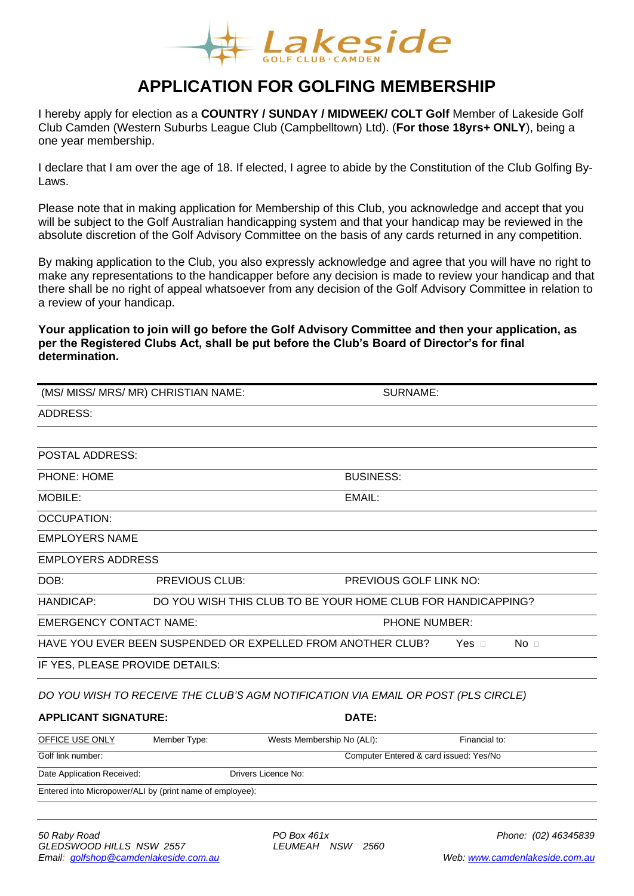

# **APPLICATION FOR GOLFING MEMBERSHIP**

I hereby apply for election as a **COUNTRY / SUNDAY / MIDWEEK/ COLT Golf** Member of Lakeside Golf Club Camden (Western Suburbs League Club (Campbelltown) Ltd). (**For those 18yrs+ ONLY**), being a one year membership.

I declare that I am over the age of 18. If elected, I agree to abide by the Constitution of the Club Golfing By-Laws.

Please note that in making application for Membership of this Club, you acknowledge and accept that you will be subject to the Golf Australian handicapping system and that your handicap may be reviewed in the absolute discretion of the Golf Advisory Committee on the basis of any cards returned in any competition.

By making application to the Club, you also expressly acknowledge and agree that you will have no right to make any representations to the handicapper before any decision is made to review your handicap and that there shall be no right of appeal whatsoever from any decision of the Golf Advisory Committee in relation to a review of your handicap.

#### **Your application to join will go before the Golf Advisory Committee and then your application, as per the Registered Clubs Act, shall be put before the Club's Board of Director's for final determination.**

| (MS/ MISS/ MRS/ MR) CHRISTIAN NAME:                      |                                                              |                                                                                   | <b>SURNAME:</b>                 |  |
|----------------------------------------------------------|--------------------------------------------------------------|-----------------------------------------------------------------------------------|---------------------------------|--|
| <b>ADDRESS:</b>                                          |                                                              |                                                                                   |                                 |  |
|                                                          |                                                              |                                                                                   |                                 |  |
| <b>POSTAL ADDRESS:</b>                                   |                                                              |                                                                                   |                                 |  |
| <b>PHONE: HOME</b>                                       |                                                              | <b>BUSINESS:</b>                                                                  |                                 |  |
| MOBILE:                                                  | EMAIL:                                                       |                                                                                   |                                 |  |
| <b>OCCUPATION:</b>                                       |                                                              |                                                                                   |                                 |  |
| <b>EMPLOYERS NAME</b>                                    |                                                              |                                                                                   |                                 |  |
| <b>EMPLOYERS ADDRESS</b>                                 |                                                              |                                                                                   |                                 |  |
| DOB:                                                     | <b>PREVIOUS CLUB:</b>                                        |                                                                                   | PREVIOUS GOLF LINK NO:          |  |
| <b>HANDICAP:</b>                                         | DO YOU WISH THIS CLUB TO BE YOUR HOME CLUB FOR HANDICAPPING? |                                                                                   |                                 |  |
| <b>EMERGENCY CONTACT NAME:</b><br><b>PHONE NUMBER:</b>   |                                                              |                                                                                   |                                 |  |
|                                                          |                                                              | HAVE YOU EVER BEEN SUSPENDED OR EXPELLED FROM ANOTHER CLUB?                       | No <sub>1</sub><br>Yes $\sqcap$ |  |
| IF YES, PLEASE PROVIDE DETAILS:                          |                                                              |                                                                                   |                                 |  |
|                                                          |                                                              | DO YOU WISH TO RECEIVE THE CLUB'S AGM NOTIFICATION VIA EMAIL OR POST (PLS CIRCLE) |                                 |  |
| <b>APPLICANT SIGNATURE:</b>                              |                                                              | DATE:                                                                             |                                 |  |
|                                                          |                                                              |                                                                                   |                                 |  |
| OFFICE USE ONLY                                          | Member Type:                                                 | Wests Membership No (ALI):                                                        | Financial to:                   |  |
| Golf link number:                                        |                                                              | Computer Entered & card issued: Yes/No                                            |                                 |  |
| Date Application Received:                               |                                                              | Drivers Licence No:                                                               |                                 |  |
| Entered into Micropower/ALI by (print name of employee): |                                                              |                                                                                   |                                 |  |
|                                                          |                                                              |                                                                                   |                                 |  |
|                                                          |                                                              |                                                                                   |                                 |  |